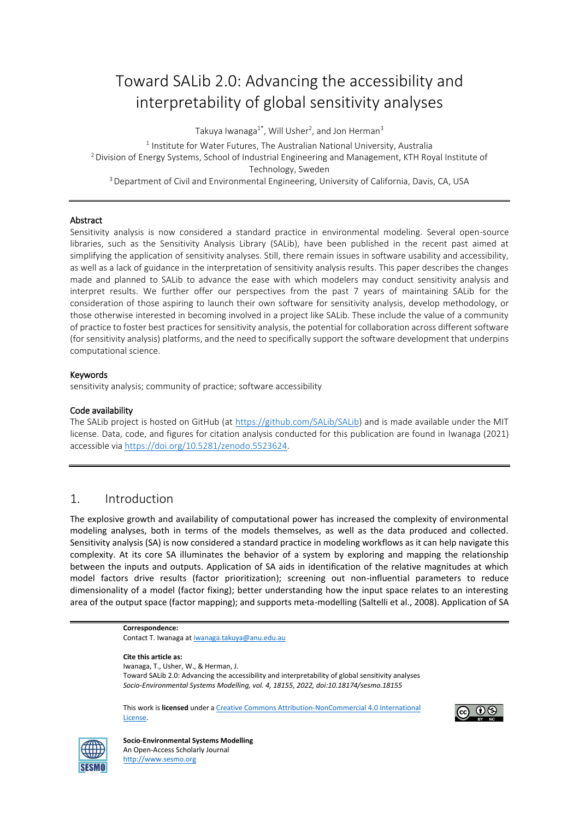# Toward SALib 2.0: Advancing the accessibility and interpretability of global sensitivity analyses

Takuya Iwanaga $^{1^*}$ , Will Usher<sup>2</sup>, and Jon Herman $^3$ 

 $^1$  Institute for Water Futures, The Australian National University, Australia <sup>2</sup> Division of Energy Systems, School of Industrial Engineering and Management, KTH Royal Institute of Technology, Sweden <sup>3</sup> Department of Civil and Environmental Engineering, University of California, Davis, CA, USA

#### Abstract

Sensitivity analysis is now considered a standard practice in environmental modeling. Several open-source libraries, such as the Sensitivity Analysis Library (SALib), have been published in the recent past aimed at simplifying the application of sensitivity analyses. Still, there remain issues in software usability and accessibility, as well as a lack of guidance in the interpretation of sensitivity analysis results. This paper describes the changes made and planned to SALib to advance the ease with which modelers may conduct sensitivity analysis and interpret results. We further offer our perspectives from the past 7 years of maintaining SALib for the consideration of those aspiring to launch their own software for sensitivity analysis, develop methodology, or those otherwise interested in becoming involved in a project like SALib. These include the value of a community of practice to foster best practices for sensitivity analysis, the potential for collaboration across different software (for sensitivity analysis) platforms, and the need to specifically support the software development that underpins computational science.

#### Keywords

sensitivity analysis; community of practice; software accessibility

#### Code availability

The SALib project is hosted on GitHub (at [https://github.com/SALib/SALib\)](https://github.com/SALib/SALib) and is made available under the MIT license. Data, code, and figures for citation analysis conducted for this publication are found in Iwanaga (2021) accessible via [https://doi.org/10.5281/zenodo.5523624.](https://doi.org/10.5281/zenodo.5523624)

## 1. Introduction

The explosive growth and availability of computational power has increased the complexity of environmental modeling analyses, both in terms of the models themselves, as well as the data produced and collected. Sensitivity analysis (SA) is now considered a standard practice in modeling workflows as it can help navigate this complexity. At its core SA illuminates the behavior of a system by exploring and mapping the relationship between the inputs and outputs. Application of SA aids in identification of the relative magnitudes at which model factors drive results (factor prioritization); screening out non-influential parameters to reduce dimensionality of a model (factor fixing); better understanding how the input space relates to an interesting area of the output space (factor mapping); and supports meta-modelling (Saltelli et al., 2008). Application of SA







**Socio-Environmental Systems Modelling**  An Open-Access Scholarly Journal [http://www.sesmo.org](http://www.sesmo.org/)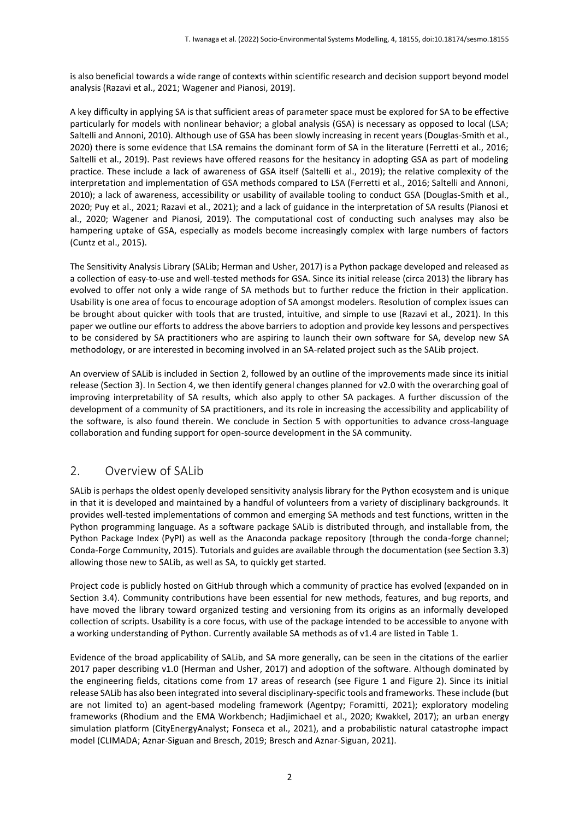is also beneficial towards a wide range of contexts within scientific research and decision support beyond model analysis (Razavi et al., 2021; Wagener and Pianosi, 2019).

A key difficulty in applying SA is that sufficient areas of parameter space must be explored for SA to be effective particularly for models with nonlinear behavior; a global analysis (GSA) is necessary as opposed to local (LSA; Saltelli and Annoni, 2010). Although use of GSA has been slowly increasing in recent years (Douglas-Smith et al., 2020) there is some evidence that LSA remains the dominant form of SA in the literature (Ferretti et al., 2016; Saltelli et al., 2019). Past reviews have offered reasons for the hesitancy in adopting GSA as part of modeling practice. These include a lack of awareness of GSA itself (Saltelli et al., 2019); the relative complexity of the interpretation and implementation of GSA methods compared to LSA (Ferretti et al., 2016; Saltelli and Annoni, 2010); a lack of awareness, accessibility or usability of available tooling to conduct GSA (Douglas-Smith et al., 2020; Puy et al., 2021; Razavi et al., 2021); and a lack of guidance in the interpretation of SA results (Pianosi et al., 2020; Wagener and Pianosi, 2019). The computational cost of conducting such analyses may also be hampering uptake of GSA, especially as models become increasingly complex with large numbers of factors (Cuntz et al., 2015).

The Sensitivity Analysis Library (SALib; Herman and Usher, 2017) is a Python package developed and released as a collection of easy-to-use and well-tested methods for GSA. Since its initial release (circa 2013) the library has evolved to offer not only a wide range of SA methods but to further reduce the friction in their application. Usability is one area of focus to encourage adoption of SA amongst modelers. Resolution of complex issues can be brought about quicker with tools that are trusted, intuitive, and simple to use (Razavi et al., 2021). In this paper we outline our efforts to address the above barriers to adoption and provide key lessons and perspectives to be considered by SA practitioners who are aspiring to launch their own software for SA, develop new SA methodology, or are interested in becoming involved in an SA-related project such as the SALib project.

An overview of SALib is included in Section 2, followed by an outline of the improvements made since its initial release (Section 3). In Section 4, we then identify general changes planned for v2.0 with the overarching goal of improving interpretability of SA results, which also apply to other SA packages. A further discussion of the development of a community of SA practitioners, and its role in increasing the accessibility and applicability of the software, is also found therein. We conclude in Section 5 with opportunities to advance cross-language collaboration and funding support for open-source development in the SA community.

## 2. Overview of SALib

SALib is perhaps the oldest openly developed sensitivity analysis library for the Python ecosystem and is unique in that it is developed and maintained by a handful of volunteers from a variety of disciplinary backgrounds. It provides well-tested implementations of common and emerging SA methods and test functions, written in the Python programming language. As a software package SALib is distributed through, and installable from, the Python Package Index (PyPI) as well as the Anaconda package repository (through the conda-forge channel; Conda-Forge Community, 2015). Tutorials and guides are available through the documentation (see Section 3.3) allowing those new to SALib, as well as SA, to quickly get started.

Project code is publicly hosted on GitHub through which a community of practice has evolved (expanded on in Section 3.4). Community contributions have been essential for new methods, features, and bug reports, and have moved the library toward organized testing and versioning from its origins as an informally developed collection of scripts. Usability is a core focus, with use of the package intended to be accessible to anyone with a working understanding of Python. Currently available SA methods as of v1.4 are listed in Table 1.

Evidence of the broad applicability of SALib, and SA more generally, can be seen in the citations of the earlier 2017 paper describing v1.0 (Herman and Usher, 2017) and adoption of the software. Although dominated by the engineering fields, citations come from 17 areas of research (see Figure 1 and Figure 2). Since its initial release SALib has also been integrated into several disciplinary-specific tools and frameworks. These include (but are not limited to) an agent-based modeling framework (Agentpy; Foramitti, 2021); exploratory modeling frameworks (Rhodium and the EMA Workbench; Hadjimichael et al., 2020; Kwakkel, 2017); an urban energy simulation platform (CityEnergyAnalyst; Fonseca et al., 2021), and a probabilistic natural catastrophe impact model (CLIMADA; Aznar-Siguan and Bresch, 2019; Bresch and Aznar-Siguan, 2021).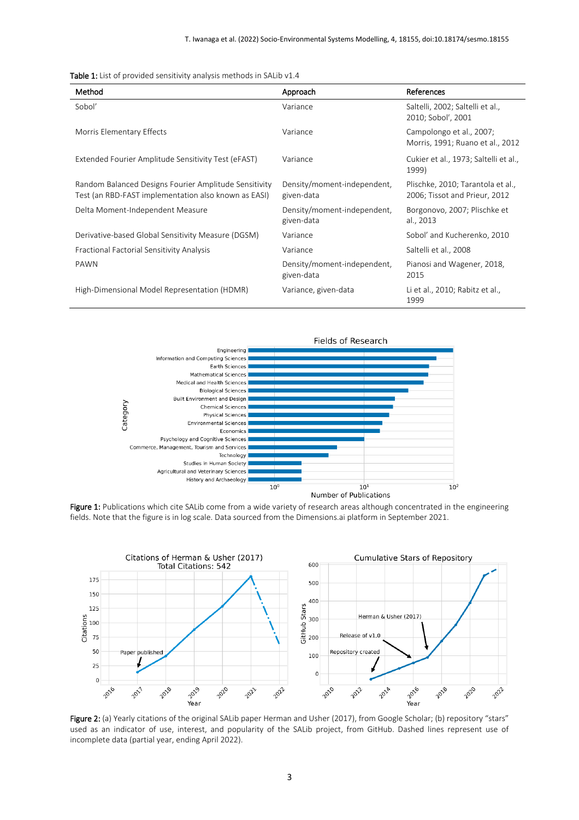|  |  |  |  | <b>Table 1:</b> List of provided sensitivity analysis methods in SALib v1.4 |  |  |  |  |  |
|--|--|--|--|-----------------------------------------------------------------------------|--|--|--|--|--|
|--|--|--|--|-----------------------------------------------------------------------------|--|--|--|--|--|

| Method                                                                                                        | Approach                                  | References                                                         |
|---------------------------------------------------------------------------------------------------------------|-------------------------------------------|--------------------------------------------------------------------|
| Sobol'                                                                                                        | Variance                                  | Saltelli, 2002; Saltelli et al.,<br>2010; Sobol', 2001             |
| Morris Elementary Effects                                                                                     | Variance                                  | Campolongo et al., 2007;<br>Morris, 1991; Ruano et al., 2012       |
| Extended Fourier Amplitude Sensitivity Test (eFAST)                                                           | Variance                                  | Cukier et al., 1973; Saltelli et al.,<br>1999)                     |
| Random Balanced Designs Fourier Amplitude Sensitivity<br>Test (an RBD-FAST implementation also known as EASI) | Density/moment-independent,<br>given-data | Plischke, 2010; Tarantola et al.,<br>2006; Tissot and Prieur, 2012 |
| Delta Moment-Independent Measure                                                                              | Density/moment-independent,<br>given-data | Borgonovo, 2007; Plischke et<br>al., 2013                          |
| Derivative-based Global Sensitivity Measure (DGSM)                                                            | Variance                                  | Sobol' and Kucherenko, 2010                                        |
| Fractional Factorial Sensitivity Analysis                                                                     | Variance                                  | Saltelli et al., 2008                                              |
| PAWN                                                                                                          | Density/moment-independent,<br>given-data | Pianosi and Wagener, 2018,<br>2015                                 |
| High-Dimensional Model Representation (HDMR)                                                                  | Variance, given-data                      | Li et al., 2010; Rabitz et al.,<br>1999                            |







Figure 2: (a) Yearly citations of the original SALib paper Herman and Usher (2017), from Google Scholar; (b) repository "stars" used as an indicator of use, interest, and popularity of the SALib project, from GitHub. Dashed lines represent use of incomplete data (partial year, ending April 2022).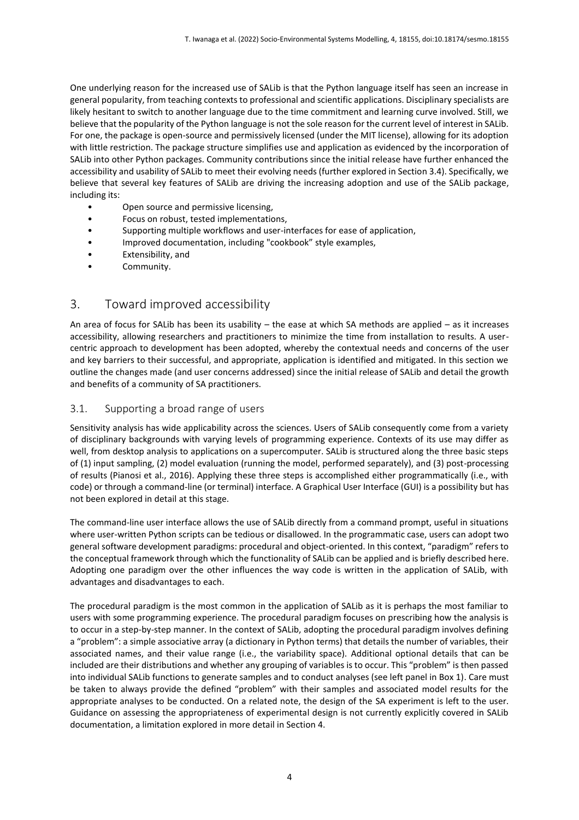One underlying reason for the increased use of SALib is that the Python language itself has seen an increase in general popularity, from teaching contexts to professional and scientific applications. Disciplinary specialists are likely hesitant to switch to another language due to the time commitment and learning curve involved. Still, we believe that the popularity of the Python language is not the sole reason for the current level of interest in SALib. For one, the package is open-source and permissively licensed (under the MIT license), allowing for its adoption with little restriction. The package structure simplifies use and application as evidenced by the incorporation of SALib into other Python packages. Community contributions since the initial release have further enhanced the accessibility and usability of SALib to meet their evolving needs (further explored in Section 3.4). Specifically, we believe that several key features of SALib are driving the increasing adoption and use of the SALib package, including its:

- Open source and permissive licensing,
- Focus on robust, tested implementations,
- Supporting multiple workflows and user-interfaces for ease of application,
- Improved documentation, including "cookbook" style examples,
- Extensibility, and
- Community.

## 3. Toward improved accessibility

An area of focus for SALib has been its usability – the ease at which SA methods are applied – as it increases accessibility, allowing researchers and practitioners to minimize the time from installation to results. A usercentric approach to development has been adopted, whereby the contextual needs and concerns of the user and key barriers to their successful, and appropriate, application is identified and mitigated. In this section we outline the changes made (and user concerns addressed) since the initial release of SALib and detail the growth and benefits of a community of SA practitioners.

## 3.1. Supporting a broad range of users

Sensitivity analysis has wide applicability across the sciences. Users of SALib consequently come from a variety of disciplinary backgrounds with varying levels of programming experience. Contexts of its use may differ as well, from desktop analysis to applications on a supercomputer. SALib is structured along the three basic steps of (1) input sampling, (2) model evaluation (running the model, performed separately), and (3) post-processing of results (Pianosi et al., 2016). Applying these three steps is accomplished either programmatically (i.e., with code) or through a command-line (or terminal) interface. A Graphical User Interface (GUI) is a possibility but has not been explored in detail at this stage.

The command-line user interface allows the use of SALib directly from a command prompt, useful in situations where user-written Python scripts can be tedious or disallowed. In the programmatic case, users can adopt two general software development paradigms: procedural and object-oriented. In this context, "paradigm" refers to the conceptual framework through which the functionality of SALib can be applied and is briefly described here. Adopting one paradigm over the other influences the way code is written in the application of SALib, with advantages and disadvantages to each.

The procedural paradigm is the most common in the application of SALib as it is perhaps the most familiar to users with some programming experience. The procedural paradigm focuses on prescribing how the analysis is to occur in a step-by-step manner. In the context of SALib, adopting the procedural paradigm involves defining a "problem": a simple associative array (a dictionary in Python terms) that details the number of variables, their associated names, and their value range (i.e., the variability space). Additional optional details that can be included are their distributions and whether any grouping of variables is to occur. This "problem" is then passed into individual SALib functions to generate samples and to conduct analyses (see left panel in Box 1). Care must be taken to always provide the defined "problem" with their samples and associated model results for the appropriate analyses to be conducted. On a related note, the design of the SA experiment is left to the user. Guidance on assessing the appropriateness of experimental design is not currently explicitly covered in SALib documentation, a limitation explored in more detail in Section 4.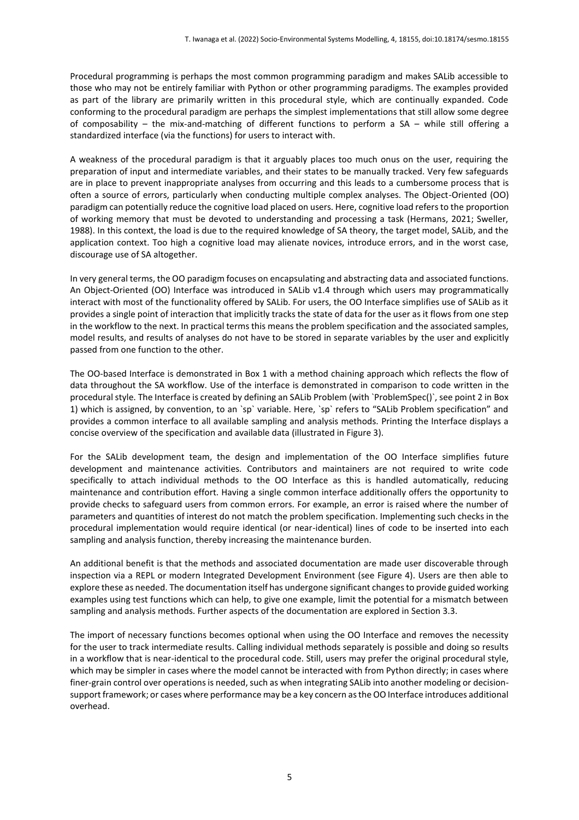Procedural programming is perhaps the most common programming paradigm and makes SALib accessible to those who may not be entirely familiar with Python or other programming paradigms. The examples provided as part of the library are primarily written in this procedural style, which are continually expanded. Code conforming to the procedural paradigm are perhaps the simplest implementations that still allow some degree of composability – the mix-and-matching of different functions to perform a SA – while still offering a standardized interface (via the functions) for users to interact with.

A weakness of the procedural paradigm is that it arguably places too much onus on the user, requiring the preparation of input and intermediate variables, and their states to be manually tracked. Very few safeguards are in place to prevent inappropriate analyses from occurring and this leads to a cumbersome process that is often a source of errors, particularly when conducting multiple complex analyses. The Object-Oriented (OO) paradigm can potentially reduce the cognitive load placed on users. Here, cognitive load refers to the proportion of working memory that must be devoted to understanding and processing a task (Hermans, 2021; Sweller, 1988). In this context, the load is due to the required knowledge of SA theory, the target model, SALib, and the application context. Too high a cognitive load may alienate novices, introduce errors, and in the worst case, discourage use of SA altogether.

In very general terms, the OO paradigm focuses on encapsulating and abstracting data and associated functions. An Object-Oriented (OO) Interface was introduced in SALib v1.4 through which users may programmatically interact with most of the functionality offered by SALib. For users, the OO Interface simplifies use of SALib as it provides a single point of interaction that implicitly tracks the state of data for the user as it flows from one step in the workflow to the next. In practical terms this means the problem specification and the associated samples, model results, and results of analyses do not have to be stored in separate variables by the user and explicitly passed from one function to the other.

The OO-based Interface is demonstrated in Box 1 with a method chaining approach which reflects the flow of data throughout the SA workflow. Use of the interface is demonstrated in comparison to code written in the procedural style. The Interface is created by defining an SALib Problem (with `ProblemSpec()`, see point 2 in Box 1) which is assigned, by convention, to an `sp` variable. Here, `sp` refers to "SALib Problem specification" and provides a common interface to all available sampling and analysis methods. Printing the Interface displays a concise overview of the specification and available data (illustrated in Figure 3).

For the SALib development team, the design and implementation of the OO Interface simplifies future development and maintenance activities. Contributors and maintainers are not required to write code specifically to attach individual methods to the OO Interface as this is handled automatically, reducing maintenance and contribution effort. Having a single common interface additionally offers the opportunity to provide checks to safeguard users from common errors. For example, an error is raised where the number of parameters and quantities of interest do not match the problem specification. Implementing such checks in the procedural implementation would require identical (or near-identical) lines of code to be inserted into each sampling and analysis function, thereby increasing the maintenance burden.

An additional benefit is that the methods and associated documentation are made user discoverable through inspection via a REPL or modern Integrated Development Environment (see Figure 4). Users are then able to explore these as needed. The documentation itself has undergone significant changes to provide guided working examples using test functions which can help, to give one example, limit the potential for a mismatch between sampling and analysis methods. Further aspects of the documentation are explored in Section 3.3.

The import of necessary functions becomes optional when using the OO Interface and removes the necessity for the user to track intermediate results. Calling individual methods separately is possible and doing so results in a workflow that is near-identical to the procedural code. Still, users may prefer the original procedural style, which may be simpler in cases where the model cannot be interacted with from Python directly; in cases where finer-grain control over operations is needed, such as when integrating SALib into another modeling or decisionsupport framework; or cases where performance may be a key concern as the OO Interface introduces additional overhead.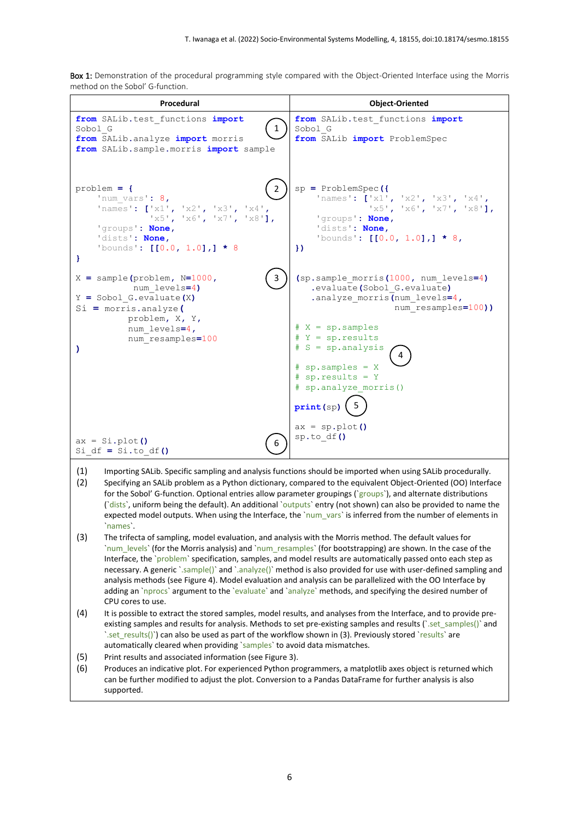Box 1: Demonstration of the procedural programming style compared with the Object-Oriented Interface using the Morris method on the Sobol' G-function.

| Procedural                                                                                                                                                                                                                                                                                                                                                                                                                                                                                                                                                                                                                                                                                                           | <b>Object-Oriented</b>                                                                                                                                                                                                                                                                                                                                                                                                                                                                                                                                                           |  |  |  |  |
|----------------------------------------------------------------------------------------------------------------------------------------------------------------------------------------------------------------------------------------------------------------------------------------------------------------------------------------------------------------------------------------------------------------------------------------------------------------------------------------------------------------------------------------------------------------------------------------------------------------------------------------------------------------------------------------------------------------------|----------------------------------------------------------------------------------------------------------------------------------------------------------------------------------------------------------------------------------------------------------------------------------------------------------------------------------------------------------------------------------------------------------------------------------------------------------------------------------------------------------------------------------------------------------------------------------|--|--|--|--|
| from SALib.test functions import<br>1<br>Sobol G<br>from SALib.analyze import morris<br>from SALib.sample.morris <i>import</i> sample                                                                                                                                                                                                                                                                                                                                                                                                                                                                                                                                                                                | from SALib.test functions import<br>Sobol G<br>from SALib <i>import</i> ProblemSpec                                                                                                                                                                                                                                                                                                                                                                                                                                                                                              |  |  |  |  |
| $problem = f$<br>2<br>'num vars': $8,$<br>'names': $['x1', 'x2', 'x3', 'x4',$<br>x5', 'x6', 'x7', 'x8']<br>'groups': None,<br>'dists': None,<br>'bounds': $[0.0, 1.0],$ $\star$ 8<br>}                                                                                                                                                                                                                                                                                                                                                                                                                                                                                                                               | $sp = ProblemSpec$ ({<br>'names': $['x1', 'x2', 'x3', 'x4',$<br>$1x5'$ , $1x6'$ , $1x7'$ , $1x8'$ ],<br>'groups': None,<br>'dists': None,<br>'bounds': $[0.0, 1.0],$ $\star$ 8,<br>)                                                                                                                                                                                                                                                                                                                                                                                             |  |  |  |  |
| $X =$ sample (problem, $N=1000$ ,<br>3<br>num levels=4)<br>$Y = Sobol G.evaluate(X)$<br>$Si = morris. analyze$<br>problem, X, Y,                                                                                                                                                                                                                                                                                                                                                                                                                                                                                                                                                                                     | (sp. sample morris (1000, num levels=4)<br>.evaluate(Sobol G.evaluate)<br>.analyze morris (num levels=4,<br>num resamples=100))                                                                                                                                                                                                                                                                                                                                                                                                                                                  |  |  |  |  |
| num levels=4,<br>num resamples=100<br>$\lambda$                                                                                                                                                                                                                                                                                                                                                                                                                                                                                                                                                                                                                                                                      | $# X = sp.samples$<br># $Y = sp.results$<br># S = sp.analysis<br>$#$ sp.samples = X                                                                                                                                                                                                                                                                                                                                                                                                                                                                                              |  |  |  |  |
|                                                                                                                                                                                                                                                                                                                                                                                                                                                                                                                                                                                                                                                                                                                      | # $sp.results = Y$<br># sp.analyze morris()<br>print(sp)                                                                                                                                                                                                                                                                                                                                                                                                                                                                                                                         |  |  |  |  |
| $ax = Si.plot()$<br>6<br>Si $df = Si.to df()$                                                                                                                                                                                                                                                                                                                                                                                                                                                                                                                                                                                                                                                                        | $ax = sp.plot()$<br>sp.to_df()                                                                                                                                                                                                                                                                                                                                                                                                                                                                                                                                                   |  |  |  |  |
| (1)<br>(2)<br>`names`.                                                                                                                                                                                                                                                                                                                                                                                                                                                                                                                                                                                                                                                                                               | Importing SALib. Specific sampling and analysis functions should be imported when using SALib procedurally.<br>Specifying an SALib problem as a Python dictionary, compared to the equivalent Object-Oriented (OO) Interface<br>for the Sobol' G-function. Optional entries allow parameter groupings (`groups`), and alternate distributions<br>('dists', uniform being the default). An additional 'outputs' entry (not shown) can also be provided to name the<br>expected model outputs. When using the Interface, the `num_vars` is inferred from the number of elements in |  |  |  |  |
| (3)<br>The trifecta of sampling, model evaluation, and analysis with the Morris method. The default values for<br>`num levels` (for the Morris analysis) and `num resamples` (for bootstrapping) are shown. In the case of the<br>Interface, the `problem` specification, samples, and model results are automatically passed onto each step as<br>necessary. A generic `.sample()` and `.analyze()` method is also provided for use with user-defined sampling and<br>analysis methods (see Figure 4). Model evaluation and analysis can be parallelized with the OO Interface by<br>adding an `nprocs` argument to the `evaluate` and `analyze` methods, and specifying the desired number of<br>CPU cores to use. |                                                                                                                                                                                                                                                                                                                                                                                                                                                                                                                                                                                  |  |  |  |  |
| $\Delta$                                                                                                                                                                                                                                                                                                                                                                                                                                                                                                                                                                                                                                                                                                             | It is nossible to ovtrast the stared samples, model results, and analyses from the Interface, and to provide pro                                                                                                                                                                                                                                                                                                                                                                                                                                                                 |  |  |  |  |

- (4) It is possible to extract the stored samples, model results, and analyses from the Interface, and to provide preexisting samples and results for analysis. Methods to set pre-existing samples and results (`.set\_samples()` and `.set\_results()`) can also be used as part of the workflow shown in (3). Previously stored `results` are automatically cleared when providing `samples` to avoid data mismatches.
- (5) Print results and associated information (see Figure 3).
- (6) Produces an indicative plot. For experienced Python programmers, a matplotlib axes object is returned which can be further modified to adjust the plot. Conversion to a Pandas DataFrame for further analysis is also supported.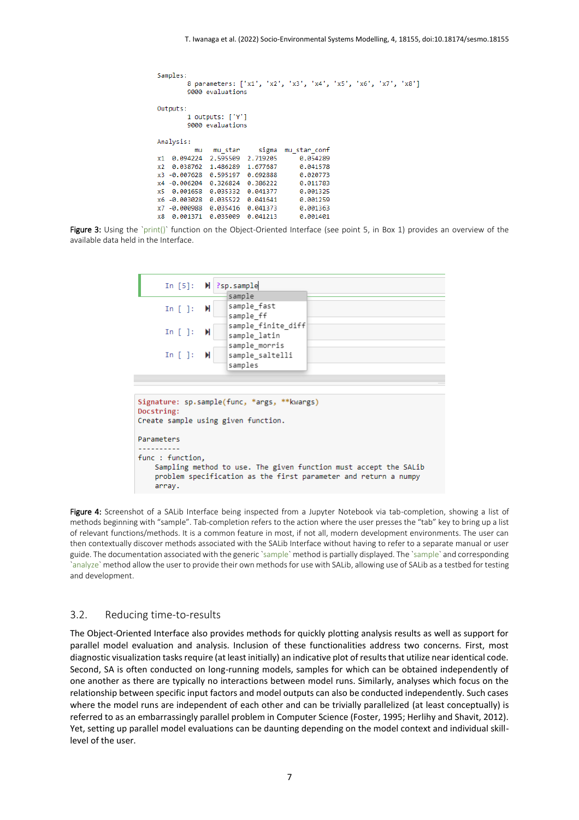```
Samples:
        8 parameters: ['x1', 'x2', 'x3', 'x4', 'x5', 'x6', 'x7', 'x8']
        9000 evaluations
Outputs:
        1 outputs: ['Y']
        9000 evaluations
Analysis:
          mumu_star
                           sigma
                                  mu_star_conf
x1 0.094224
              2.595509
                       2.719205
                                       0.054289
              1.486289
x2 0.038762
                        1.677687
                                       0.041578
x3 -0.007628
              0.595197
                        0.692888
                                       0.020773
x4 -0.006204
              0.326824
                        0.386222
                                       0.011783
x<sub>5</sub>0.001658
              0.035332
                        0.041377
                                       0.001325
x6 -0.003028 0.035522
                        0.041641
                                       0.001259
x7 -0.000988
              0.035416
                        0.041373
                                       0.001363
x8  0.001371  0.035009  0.041213
                                       0.001401
```
Figure 3: Using the `print()` function on the Object-Oriented Interface (see point 5, in Box 1) provides an overview of the available data held in the Interface.



Figure 4: Screenshot of a SALib Interface being inspected from a Jupyter Notebook via tab-completion, showing a list of methods beginning with "sample". Tab-completion refers to the action where the user presses the "tab" key to bring up a list of relevant functions/methods. It is a common feature in most, if not all, modern development environments. The user can then contextually discover methods associated with the SALib Interface without having to refer to a separate manual or user guide. The documentation associated with the generic `sample` method is partially displayed. The `sample` and corresponding `analyze` method allow the user to provide their own methods for use with SALib, allowing use of SALib as a testbed for testing and development.

#### 3.2. Reducing time-to-results

The Object-Oriented Interface also provides methods for quickly plotting analysis results as well as support for parallel model evaluation and analysis. Inclusion of these functionalities address two concerns. First, most diagnostic visualization tasks require (at least initially) an indicative plot of results that utilize near identical code. Second, SA is often conducted on long-running models, samples for which can be obtained independently of one another as there are typically no interactions between model runs. Similarly, analyses which focus on the relationship between specific input factors and model outputs can also be conducted independently. Such cases where the model runs are independent of each other and can be trivially parallelized (at least conceptually) is referred to as an embarrassingly parallel problem in Computer Science (Foster, 1995; Herlihy and Shavit, 2012). Yet, setting up parallel model evaluations can be daunting depending on the model context and individual skilllevel of the user.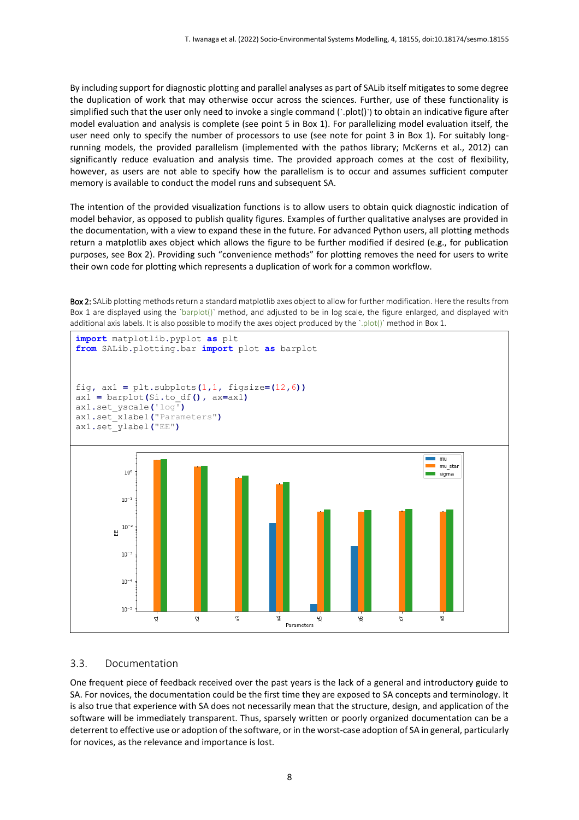By including support for diagnostic plotting and parallel analyses as part of SALib itself mitigates to some degree the duplication of work that may otherwise occur across the sciences. Further, use of these functionality is simplified such that the user only need to invoke a single command ('.plot()') to obtain an indicative figure after model evaluation and analysis is complete (see point 5 in Box 1). For parallelizing model evaluation itself, the user need only to specify the number of processors to use (see note for point 3 in Box 1). For suitably longrunning models, the provided parallelism (implemented with the pathos library; McKerns et al., 2012) can significantly reduce evaluation and analysis time. The provided approach comes at the cost of flexibility, however, as users are not able to specify how the parallelism is to occur and assumes sufficient computer memory is available to conduct the model runs and subsequent SA.

The intention of the provided visualization functions is to allow users to obtain quick diagnostic indication of model behavior, as opposed to publish quality figures. Examples of further qualitative analyses are provided in the documentation, with a view to expand these in the future. For advanced Python users, all plotting methods return a matplotlib axes object which allows the figure to be further modified if desired (e.g., for publication purposes, see Box 2). Providing such "convenience methods" for plotting removes the need for users to write their own code for plotting which represents a duplication of work for a common workflow.

Box 2: SALib plotting methods return a standard matplotlib axes object to allow for further modification. Here the results from Box 1 are displayed using the `barplot()` method, and adjusted to be in log scale, the figure enlarged, and displayed with additional axis labels. It is also possible to modify the axes object produced by the `.plot()` method in Box 1.



#### 3.3. Documentation

One frequent piece of feedback received over the past years is the lack of a general and introductory guide to SA. For novices, the documentation could be the first time they are exposed to SA concepts and terminology. It is also true that experience with SA does not necessarily mean that the structure, design, and application of the software will be immediately transparent. Thus, sparsely written or poorly organized documentation can be a deterrent to effective use or adoption of the software, or in the worst-case adoption of SA in general, particularly for novices, as the relevance and importance is lost.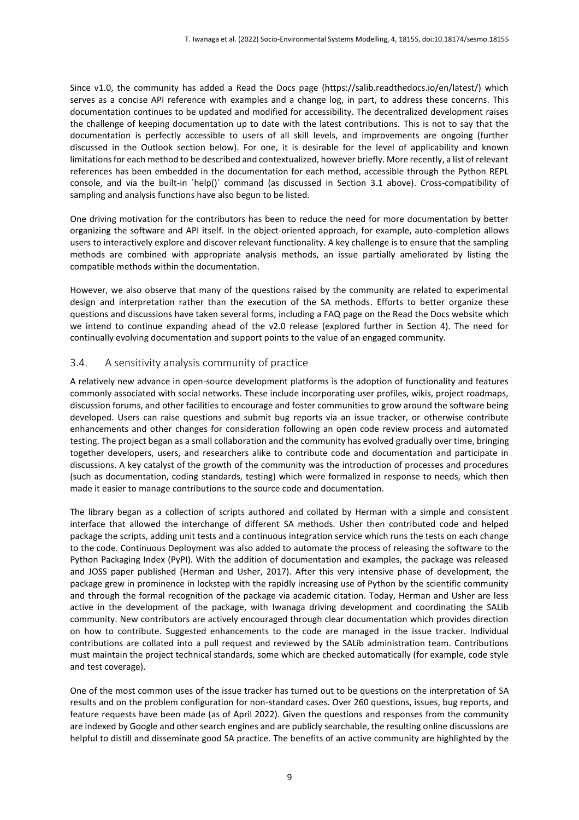Since v1.0, the community has added a Read the Docs page (https://salib.readthedocs.io/en/latest/) which serves as a concise API reference with examples and a change log, in part, to address these concerns. This documentation continues to be updated and modified for accessibility. The decentralized development raises the challenge of keeping documentation up to date with the latest contributions. This is not to say that the documentation is perfectly accessible to users of all skill levels, and improvements are ongoing (further discussed in the Outlook section below). For one, it is desirable for the level of applicability and known limitations for each method to be described and contextualized, however briefly. More recently, a list of relevant references has been embedded in the documentation for each method, accessible through the Python REPL console, and via the built-in `help()` command (as discussed in Section 3.1 above). Cross-compatibility of sampling and analysis functions have also begun to be listed.

One driving motivation for the contributors has been to reduce the need for more documentation by better organizing the software and API itself. In the object-oriented approach, for example, auto-completion allows users to interactively explore and discover relevant functionality. A key challenge is to ensure that the sampling methods are combined with appropriate analysis methods, an issue partially ameliorated by listing the compatible methods within the documentation.

However, we also observe that many of the questions raised by the community are related to experimental design and interpretation rather than the execution of the SA methods. Efforts to better organize these questions and discussions have taken several forms, including a FAQ page on the Read the Docs website which we intend to continue expanding ahead of the v2.0 release (explored further in Section 4). The need for continually evolving documentation and support points to the value of an engaged community.

### 3.4. A sensitivity analysis community of practice

A relatively new advance in open-source development platforms is the adoption of functionality and features commonly associated with social networks. These include incorporating user profiles, wikis, project roadmaps, discussion forums, and other facilities to encourage and foster communities to grow around the software being developed. Users can raise questions and submit bug reports via an issue tracker, or otherwise contribute enhancements and other changes for consideration following an open code review process and automated testing. The project began as a small collaboration and the community has evolved gradually over time, bringing together developers, users, and researchers alike to contribute code and documentation and participate in discussions. A key catalyst of the growth of the community was the introduction of processes and procedures (such as documentation, coding standards, testing) which were formalized in response to needs, which then made it easier to manage contributions to the source code and documentation.

The library began as a collection of scripts authored and collated by Herman with a simple and consistent interface that allowed the interchange of different SA methods. Usher then contributed code and helped package the scripts, adding unit tests and a continuous integration service which runs the tests on each change to the code. Continuous Deployment was also added to automate the process of releasing the software to the Python Packaging Index (PyPI). With the addition of documentation and examples, the package was released and JOSS paper published (Herman and Usher, 2017). After this very intensive phase of development, the package grew in prominence in lockstep with the rapidly increasing use of Python by the scientific community and through the formal recognition of the package via academic citation. Today, Herman and Usher are less active in the development of the package, with Iwanaga driving development and coordinating the SALib community. New contributors are actively encouraged through clear documentation which provides direction on how to contribute. Suggested enhancements to the code are managed in the issue tracker. Individual contributions are collated into a pull request and reviewed by the SALib administration team. Contributions must maintain the project technical standards, some which are checked automatically (for example, code style and test coverage).

One of the most common uses of the issue tracker has turned out to be questions on the interpretation of SA results and on the problem configuration for non-standard cases. Over 260 questions, issues, bug reports, and feature requests have been made (as of April 2022). Given the questions and responses from the community are indexed by Google and other search engines and are publicly searchable, the resulting online discussions are helpful to distill and disseminate good SA practice. The benefits of an active community are highlighted by the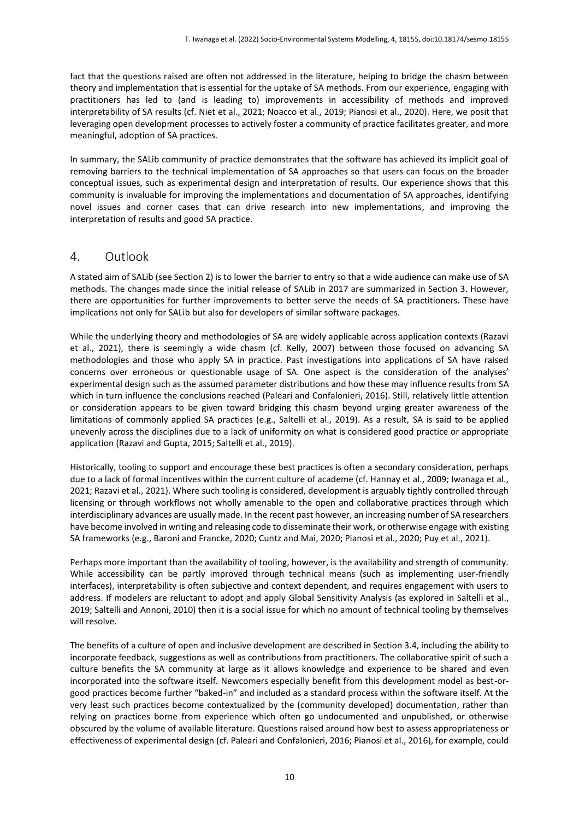fact that the questions raised are often not addressed in the literature, helping to bridge the chasm between theory and implementation that is essential for the uptake of SA methods. From our experience, engaging with practitioners has led to (and is leading to) improvements in accessibility of methods and improved interpretability of SA results (cf. Niet et al., 2021; Noacco et al., 2019; Pianosi et al., 2020). Here, we posit that leveraging open development processes to actively foster a community of practice facilitates greater, and more meaningful, adoption of SA practices.

In summary, the SALib community of practice demonstrates that the software has achieved its implicit goal of removing barriers to the technical implementation of SA approaches so that users can focus on the broader conceptual issues, such as experimental design and interpretation of results. Our experience shows that this community is invaluable for improving the implementations and documentation of SA approaches, identifying novel issues and corner cases that can drive research into new implementations, and improving the interpretation of results and good SA practice.

## 4. Outlook

A stated aim of SALib (see Section 2) is to lower the barrier to entry so that a wide audience can make use of SA methods. The changes made since the initial release of SALib in 2017 are summarized in Section 3. However, there are opportunities for further improvements to better serve the needs of SA practitioners. These have implications not only for SALib but also for developers of similar software packages.

While the underlying theory and methodologies of SA are widely applicable across application contexts (Razavi et al., 2021), there is seemingly a wide chasm (cf. Kelly, 2007) between those focused on advancing SA methodologies and those who apply SA in practice. Past investigations into applications of SA have raised concerns over erroneous or questionable usage of SA. One aspect is the consideration of the analyses' experimental design such as the assumed parameter distributions and how these may influence results from SA which in turn influence the conclusions reached (Paleari and Confalonieri, 2016). Still, relatively little attention or consideration appears to be given toward bridging this chasm beyond urging greater awareness of the limitations of commonly applied SA practices (e.g., Saltelli et al., 2019). As a result, SA is said to be applied unevenly across the disciplines due to a lack of uniformity on what is considered good practice or appropriate application (Razavi and Gupta, 2015; Saltelli et al., 2019).

Historically, tooling to support and encourage these best practices is often a secondary consideration, perhaps due to a lack of formal incentives within the current culture of academe (cf. Hannay et al., 2009; Iwanaga et al., 2021; Razavi et al., 2021). Where such tooling is considered, development is arguably tightly controlled through licensing or through workflows not wholly amenable to the open and collaborative practices through which interdisciplinary advances are usually made. In the recent past however, an increasing number of SA researchers have become involved in writing and releasing code to disseminate their work, or otherwise engage with existing SA frameworks (e.g., Baroni and Francke, 2020; Cuntz and Mai, 2020; Pianosi et al., 2020; Puy et al., 2021).

Perhaps more important than the availability of tooling, however, is the availability and strength of community. While accessibility can be partly improved through technical means (such as implementing user-friendly interfaces), interpretability is often subjective and context dependent, and requires engagement with users to address. If modelers are reluctant to adopt and apply Global Sensitivity Analysis (as explored in Saltelli et al., 2019; Saltelli and Annoni, 2010) then it is a social issue for which no amount of technical tooling by themselves will resolve.

The benefits of a culture of open and inclusive development are described in Section 3.4, including the ability to incorporate feedback, suggestions as well as contributions from practitioners. The collaborative spirit of such a culture benefits the SA community at large as it allows knowledge and experience to be shared and even incorporated into the software itself. Newcomers especially benefit from this development model as best-orgood practices become further "baked-in" and included as a standard process within the software itself. At the very least such practices become contextualized by the (community developed) documentation, rather than relying on practices borne from experience which often go undocumented and unpublished, or otherwise obscured by the volume of available literature. Questions raised around how best to assess appropriateness or effectiveness of experimental design (cf. Paleari and Confalonieri, 2016; Pianosi et al., 2016), for example, could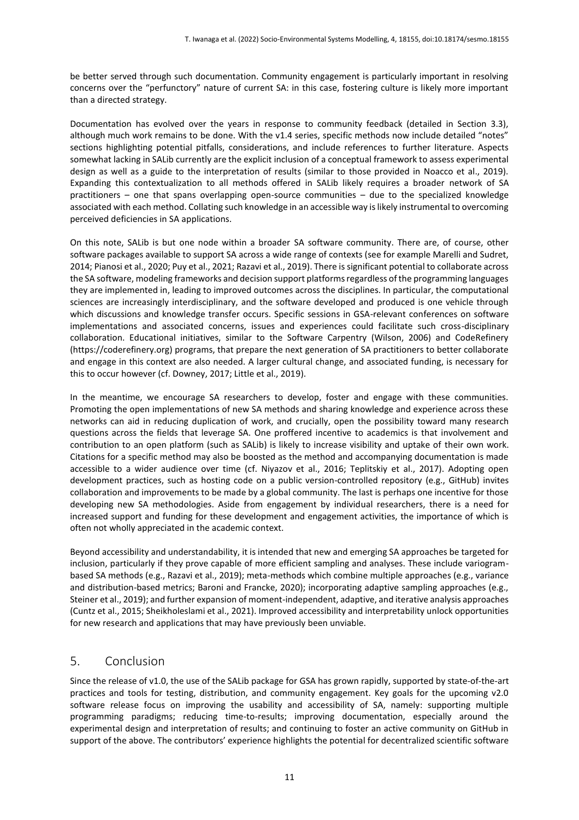be better served through such documentation. Community engagement is particularly important in resolving concerns over the "perfunctory" nature of current SA: in this case, fostering culture is likely more important than a directed strategy.

Documentation has evolved over the years in response to community feedback (detailed in Section 3.3), although much work remains to be done. With the v1.4 series, specific methods now include detailed "notes" sections highlighting potential pitfalls, considerations, and include references to further literature. Aspects somewhat lacking in SALib currently are the explicit inclusion of a conceptual framework to assess experimental design as well as a guide to the interpretation of results (similar to those provided in Noacco et al., 2019). Expanding this contextualization to all methods offered in SALib likely requires a broader network of SA practitioners – one that spans overlapping open-source communities – due to the specialized knowledge associated with each method. Collating such knowledge in an accessible way is likely instrumental to overcoming perceived deficiencies in SA applications.

On this note, SALib is but one node within a broader SA software community. There are, of course, other software packages available to support SA across a wide range of contexts (see for example Marelli and Sudret, 2014; Pianosi et al., 2020; Puy et al., 2021; Razavi et al., 2019). There is significant potential to collaborate across the SA software, modeling frameworks and decision support platforms regardless of the programming languages they are implemented in, leading to improved outcomes across the disciplines. In particular, the computational sciences are increasingly interdisciplinary, and the software developed and produced is one vehicle through which discussions and knowledge transfer occurs. Specific sessions in GSA-relevant conferences on software implementations and associated concerns, issues and experiences could facilitate such cross-disciplinary collaboration. Educational initiatives, similar to the Software Carpentry (Wilson, 2006) and CodeRefinery (https://coderefinery.org) programs, that prepare the next generation of SA practitioners to better collaborate and engage in this context are also needed. A larger cultural change, and associated funding, is necessary for this to occur however (cf. Downey, 2017; Little et al., 2019).

In the meantime, we encourage SA researchers to develop, foster and engage with these communities. Promoting the open implementations of new SA methods and sharing knowledge and experience across these networks can aid in reducing duplication of work, and crucially, open the possibility toward many research questions across the fields that leverage SA. One proffered incentive to academics is that involvement and contribution to an open platform (such as SALib) is likely to increase visibility and uptake of their own work. Citations for a specific method may also be boosted as the method and accompanying documentation is made accessible to a wider audience over time (cf. Niyazov et al., 2016; Teplitskiy et al., 2017). Adopting open development practices, such as hosting code on a public version-controlled repository (e.g., GitHub) invites collaboration and improvements to be made by a global community. The last is perhaps one incentive for those developing new SA methodologies. Aside from engagement by individual researchers, there is a need for increased support and funding for these development and engagement activities, the importance of which is often not wholly appreciated in the academic context.

Beyond accessibility and understandability, it is intended that new and emerging SA approaches be targeted for inclusion, particularly if they prove capable of more efficient sampling and analyses. These include variogrambased SA methods (e.g., Razavi et al., 2019); meta-methods which combine multiple approaches (e.g., variance and distribution-based metrics; Baroni and Francke, 2020); incorporating adaptive sampling approaches (e.g., Steiner et al., 2019); and further expansion of moment-independent, adaptive, and iterative analysis approaches (Cuntz et al., 2015; Sheikholeslami et al., 2021). Improved accessibility and interpretability unlock opportunities for new research and applications that may have previously been unviable.

## 5. Conclusion

Since the release of v1.0, the use of the SALib package for GSA has grown rapidly, supported by state-of-the-art practices and tools for testing, distribution, and community engagement. Key goals for the upcoming v2.0 software release focus on improving the usability and accessibility of SA, namely: supporting multiple programming paradigms; reducing time-to-results; improving documentation, especially around the experimental design and interpretation of results; and continuing to foster an active community on GitHub in support of the above. The contributors' experience highlights the potential for decentralized scientific software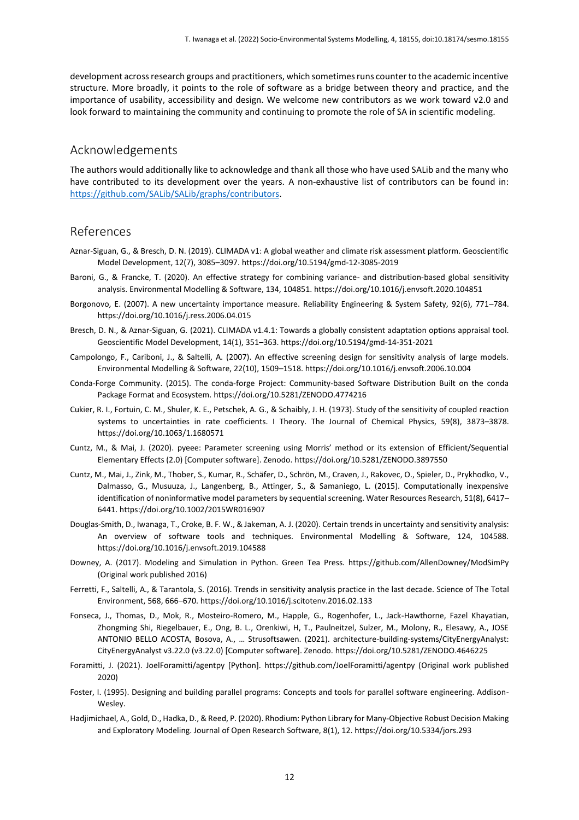development across research groups and practitioners, which sometimes runs counter to the academic incentive structure. More broadly, it points to the role of software as a bridge between theory and practice, and the importance of usability, accessibility and design. We welcome new contributors as we work toward v2.0 and look forward to maintaining the community and continuing to promote the role of SA in scientific modeling.

## Acknowledgements

The authors would additionally like to acknowledge and thank all those who have used SALib and the many who have contributed to its development over the years. A non-exhaustive list of contributors can be found in: [https://github.com/SALib/SALib/graphs/contributors.](https://github.com/SALib/SALib/graphs/contributors)

# References

- Aznar-Siguan, G., & Bresch, D. N. (2019). CLIMADA v1: A global weather and climate risk assessment platform. Geoscientific Model Development, 12(7), 3085–3097. https://doi.org/10.5194/gmd-12-3085-2019
- Baroni, G., & Francke, T. (2020). An effective strategy for combining variance- and distribution-based global sensitivity analysis. Environmental Modelling & Software, 134, 104851. https://doi.org/10.1016/j.envsoft.2020.104851
- Borgonovo, E. (2007). A new uncertainty importance measure. Reliability Engineering & System Safety, 92(6), 771–784. https://doi.org/10.1016/j.ress.2006.04.015
- Bresch, D. N., & Aznar-Siguan, G. (2021). CLIMADA v1.4.1: Towards a globally consistent adaptation options appraisal tool. Geoscientific Model Development, 14(1), 351–363. https://doi.org/10.5194/gmd-14-351-2021
- Campolongo, F., Cariboni, J., & Saltelli, A. (2007). An effective screening design for sensitivity analysis of large models. Environmental Modelling & Software, 22(10), 1509–1518. https://doi.org/10.1016/j.envsoft.2006.10.004
- Conda-Forge Community. (2015). The conda-forge Project: Community-based Software Distribution Built on the conda Package Format and Ecosystem. https://doi.org/10.5281/ZENODO.4774216
- Cukier, R. I., Fortuin, C. M., Shuler, K. E., Petschek, A. G., & Schaibly, J. H. (1973). Study of the sensitivity of coupled reaction systems to uncertainties in rate coefficients. I Theory. The Journal of Chemical Physics, 59(8), 3873–3878. https://doi.org/10.1063/1.1680571
- Cuntz, M., & Mai, J. (2020). pyeee: Parameter screening using Morris' method or its extension of Efficient/Sequential Elementary Effects (2.0) [Computer software]. Zenodo. https://doi.org/10.5281/ZENODO.3897550
- Cuntz, M., Mai, J., Zink, M., Thober, S., Kumar, R., Schäfer, D., Schrön, M., Craven, J., Rakovec, O., Spieler, D., Prykhodko, V., Dalmasso, G., Musuuza, J., Langenberg, B., Attinger, S., & Samaniego, L. (2015). Computationally inexpensive identification of noninformative model parameters by sequential screening. Water Resources Research, 51(8), 6417– 6441. https://doi.org/10.1002/2015WR016907
- Douglas-Smith, D., Iwanaga, T., Croke, B. F. W., & Jakeman, A. J. (2020). Certain trends in uncertainty and sensitivity analysis: An overview of software tools and techniques. Environmental Modelling & Software, 124, 104588. https://doi.org/10.1016/j.envsoft.2019.104588
- Downey, A. (2017). Modeling and Simulation in Python. Green Tea Press. https://github.com/AllenDowney/ModSimPy (Original work published 2016)
- Ferretti, F., Saltelli, A., & Tarantola, S. (2016). Trends in sensitivity analysis practice in the last decade. Science of The Total Environment, 568, 666–670. https://doi.org/10.1016/j.scitotenv.2016.02.133
- Fonseca, J., Thomas, D., Mok, R., Mosteiro-Romero, M., Happle, G., Rogenhofer, L., Jack-Hawthorne, Fazel Khayatian, Zhongming Shi, Riegelbauer, E., Ong, B. L., Orenkiwi, H, T., Paulneitzel, Sulzer, M., Molony, R., Elesawy, A., JOSE ANTONIO BELLO ACOSTA, Bosova, A., … Strusoftsawen. (2021). architecture-building-systems/CityEnergyAnalyst: CityEnergyAnalyst v3.22.0 (v3.22.0) [Computer software]. Zenodo. https://doi.org/10.5281/ZENODO.4646225
- Foramitti, J. (2021). JoelForamitti/agentpy [Python]. https://github.com/JoelForamitti/agentpy (Original work published 2020)
- Foster, I. (1995). Designing and building parallel programs: Concepts and tools for parallel software engineering. Addison-Wesley.
- Hadjimichael, A., Gold, D., Hadka, D., & Reed, P. (2020). Rhodium: Python Library for Many-Objective Robust Decision Making and Exploratory Modeling. Journal of Open Research Software, 8(1), 12. https://doi.org/10.5334/jors.293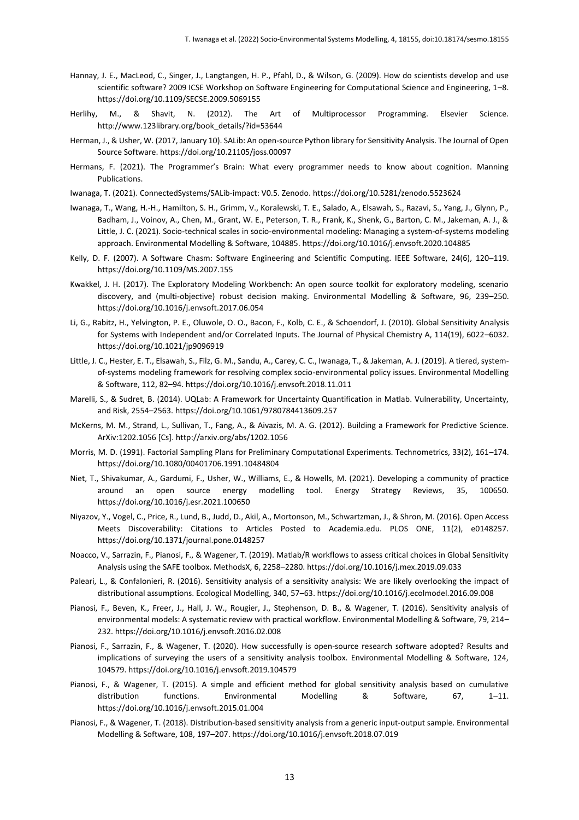- Hannay, J. E., MacLeod, C., Singer, J., Langtangen, H. P., Pfahl, D., & Wilson, G. (2009). How do scientists develop and use scientific software? 2009 ICSE Workshop on Software Engineering for Computational Science and Engineering, 1–8. https://doi.org/10.1109/SECSE.2009.5069155
- Herlihy, M., & Shavit, N. (2012). The Art of Multiprocessor Programming. Elsevier Science. http://www.123library.org/book\_details/?id=53644
- Herman, J., & Usher, W. (2017, January 10). SALib: An open-source Python library for Sensitivity Analysis. The Journal of Open Source Software. https://doi.org/10.21105/joss.00097
- Hermans, F. (2021). The Programmer's Brain: What every programmer needs to know about cognition. Manning Publications.
- Iwanaga, T. (2021). ConnectedSystems/SALib-impact: V0.5. Zenodo. https://doi.org/10.5281/zenodo.5523624
- Iwanaga, T., Wang, H.-H., Hamilton, S. H., Grimm, V., Koralewski, T. E., Salado, A., Elsawah, S., Razavi, S., Yang, J., Glynn, P., Badham, J., Voinov, A., Chen, M., Grant, W. E., Peterson, T. R., Frank, K., Shenk, G., Barton, C. M., Jakeman, A. J., & Little, J. C. (2021). Socio-technical scales in socio-environmental modeling: Managing a system-of-systems modeling approach. Environmental Modelling & Software, 104885. https://doi.org/10.1016/j.envsoft.2020.104885
- Kelly, D. F. (2007). A Software Chasm: Software Engineering and Scientific Computing. IEEE Software, 24(6), 120–119. https://doi.org/10.1109/MS.2007.155
- Kwakkel, J. H. (2017). The Exploratory Modeling Workbench: An open source toolkit for exploratory modeling, scenario discovery, and (multi-objective) robust decision making. Environmental Modelling & Software, 96, 239–250. https://doi.org/10.1016/j.envsoft.2017.06.054
- Li, G., Rabitz, H., Yelvington, P. E., Oluwole, O. O., Bacon, F., Kolb, C. E., & Schoendorf, J. (2010). Global Sensitivity Analysis for Systems with Independent and/or Correlated Inputs. The Journal of Physical Chemistry A, 114(19), 6022–6032. https://doi.org/10.1021/jp9096919
- Little, J. C., Hester, E. T., Elsawah, S., Filz, G. M., Sandu, A., Carey, C. C., Iwanaga, T., & Jakeman, A. J. (2019). A tiered, systemof-systems modeling framework for resolving complex socio-environmental policy issues. Environmental Modelling & Software, 112, 82–94. https://doi.org/10.1016/j.envsoft.2018.11.011
- Marelli, S., & Sudret, B. (2014). UQLab: A Framework for Uncertainty Quantification in Matlab. Vulnerability, Uncertainty, and Risk, 2554–2563. https://doi.org/10.1061/9780784413609.257
- McKerns, M. M., Strand, L., Sullivan, T., Fang, A., & Aivazis, M. A. G. (2012). Building a Framework for Predictive Science. ArXiv:1202.1056 [Cs]. http://arxiv.org/abs/1202.1056
- Morris, M. D. (1991). Factorial Sampling Plans for Preliminary Computational Experiments. Technometrics, 33(2), 161–174. https://doi.org/10.1080/00401706.1991.10484804
- Niet, T., Shivakumar, A., Gardumi, F., Usher, W., Williams, E., & Howells, M. (2021). Developing a community of practice around an open source energy modelling tool. Energy Strategy Reviews, 35, 100650. https://doi.org/10.1016/j.esr.2021.100650
- Niyazov, Y., Vogel, C., Price, R., Lund, B., Judd, D., Akil, A., Mortonson, M., Schwartzman, J., & Shron, M. (2016). Open Access Meets Discoverability: Citations to Articles Posted to Academia.edu. PLOS ONE, 11(2), e0148257. https://doi.org/10.1371/journal.pone.0148257
- Noacco, V., Sarrazin, F., Pianosi, F., & Wagener, T. (2019). Matlab/R workflows to assess critical choices in Global Sensitivity Analysis using the SAFE toolbox. MethodsX, 6, 2258–2280. https://doi.org/10.1016/j.mex.2019.09.033
- Paleari, L., & Confalonieri, R. (2016). Sensitivity analysis of a sensitivity analysis: We are likely overlooking the impact of distributional assumptions. Ecological Modelling, 340, 57–63. https://doi.org/10.1016/j.ecolmodel.2016.09.008
- Pianosi, F., Beven, K., Freer, J., Hall, J. W., Rougier, J., Stephenson, D. B., & Wagener, T. (2016). Sensitivity analysis of environmental models: A systematic review with practical workflow. Environmental Modelling & Software, 79, 214– 232. https://doi.org/10.1016/j.envsoft.2016.02.008
- Pianosi, F., Sarrazin, F., & Wagener, T. (2020). How successfully is open-source research software adopted? Results and implications of surveying the users of a sensitivity analysis toolbox. Environmental Modelling & Software, 124, 104579. https://doi.org/10.1016/j.envsoft.2019.104579
- Pianosi, F., & Wagener, T. (2015). A simple and efficient method for global sensitivity analysis based on cumulative distribution functions. Environmental Modelling & Software, 67, 1–11. https://doi.org/10.1016/j.envsoft.2015.01.004
- Pianosi, F., & Wagener, T. (2018). Distribution-based sensitivity analysis from a generic input-output sample. Environmental Modelling & Software, 108, 197–207. https://doi.org/10.1016/j.envsoft.2018.07.019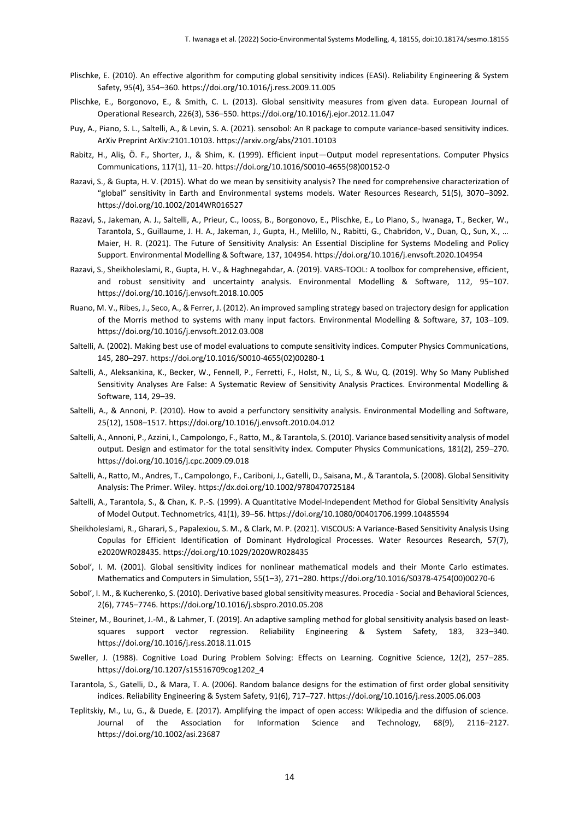- Plischke, E. (2010). An effective algorithm for computing global sensitivity indices (EASI). Reliability Engineering & System Safety, 95(4), 354–360. https://doi.org/10.1016/j.ress.2009.11.005
- Plischke, E., Borgonovo, E., & Smith, C. L. (2013). Global sensitivity measures from given data. European Journal of Operational Research, 226(3), 536–550. https://doi.org/10.1016/j.ejor.2012.11.047
- Puy, A., Piano, S. L., Saltelli, A., & Levin, S. A. (2021). sensobol: An R package to compute variance-based sensitivity indices. ArXiv Preprint ArXiv:2101.10103. https://arxiv.org/abs/2101.10103
- Rabitz, H., Aliş, Ö. F., Shorter, J., & Shim, K. (1999). Efficient input—Output model representations. Computer Physics Communications, 117(1), 11–20. https://doi.org/10.1016/S0010-4655(98)00152-0
- Razavi, S., & Gupta, H. V. (2015). What do we mean by sensitivity analysis? The need for comprehensive characterization of "global" sensitivity in Earth and Environmental systems models. Water Resources Research, 51(5), 3070–3092. https://doi.org/10.1002/2014WR016527
- Razavi, S., Jakeman, A. J., Saltelli, A., Prieur, C., Iooss, B., Borgonovo, E., Plischke, E., Lo Piano, S., Iwanaga, T., Becker, W., Tarantola, S., Guillaume, J. H. A., Jakeman, J., Gupta, H., Melillo, N., Rabitti, G., Chabridon, V., Duan, Q., Sun, X., … Maier, H. R. (2021). The Future of Sensitivity Analysis: An Essential Discipline for Systems Modeling and Policy Support. Environmental Modelling & Software, 137, 104954. https://doi.org/10.1016/j.envsoft.2020.104954
- Razavi, S., Sheikholeslami, R., Gupta, H. V., & Haghnegahdar, A. (2019). VARS-TOOL: A toolbox for comprehensive, efficient, and robust sensitivity and uncertainty analysis. Environmental Modelling & Software, 112, 95–107. https://doi.org/10.1016/j.envsoft.2018.10.005
- Ruano, M. V., Ribes, J., Seco, A., & Ferrer, J. (2012). An improved sampling strategy based on trajectory design for application of the Morris method to systems with many input factors. Environmental Modelling & Software, 37, 103–109. https://doi.org/10.1016/j.envsoft.2012.03.008
- Saltelli, A. (2002). Making best use of model evaluations to compute sensitivity indices. Computer Physics Communications, 145, 280–297. https://doi.org/10.1016/S0010-4655(02)00280-1
- Saltelli, A., Aleksankina, K., Becker, W., Fennell, P., Ferretti, F., Holst, N., Li, S., & Wu, Q. (2019). Why So Many Published Sensitivity Analyses Are False: A Systematic Review of Sensitivity Analysis Practices. Environmental Modelling & Software, 114, 29–39.
- Saltelli, A., & Annoni, P. (2010). How to avoid a perfunctory sensitivity analysis. Environmental Modelling and Software, 25(12), 1508–1517. https://doi.org/10.1016/j.envsoft.2010.04.012
- Saltelli, A., Annoni, P., Azzini, I., Campolongo, F., Ratto, M., & Tarantola, S. (2010). Variance based sensitivity analysis of model output. Design and estimator for the total sensitivity index. Computer Physics Communications, 181(2), 259–270. https://doi.org/10.1016/j.cpc.2009.09.018
- Saltelli, A., Ratto, M., Andres, T., Campolongo, F., Cariboni, J., Gatelli, D., Saisana, M., & Tarantola, S. (2008). Global Sensitivity Analysis: The Primer. Wiley. https://dx.doi.org/10.1002/9780470725184
- Saltelli, A., Tarantola, S., & Chan, K. P.-S. (1999). A Quantitative Model-Independent Method for Global Sensitivity Analysis of Model Output. Technometrics, 41(1), 39–56. https://doi.org/10.1080/00401706.1999.10485594
- Sheikholeslami, R., Gharari, S., Papalexiou, S. M., & Clark, M. P. (2021). VISCOUS: A Variance-Based Sensitivity Analysis Using Copulas for Efficient Identification of Dominant Hydrological Processes. Water Resources Research, 57(7), e2020WR028435. https://doi.org/10.1029/2020WR028435
- Sobol′, I. M. (2001). Global sensitivity indices for nonlinear mathematical models and their Monte Carlo estimates. Mathematics and Computers in Simulation, 55(1–3), 271–280. https://doi.org/10.1016/S0378-4754(00)00270-6
- Sobol', I. M., & Kucherenko, S. (2010). Derivative based global sensitivity measures. Procedia Social and Behavioral Sciences, 2(6), 7745–7746. https://doi.org/10.1016/j.sbspro.2010.05.208
- Steiner, M., Bourinet, J.-M., & Lahmer, T. (2019). An adaptive sampling method for global sensitivity analysis based on leastsquares support vector regression. Reliability Engineering & System Safety, 183, 323–340. https://doi.org/10.1016/j.ress.2018.11.015
- Sweller, J. (1988). Cognitive Load During Problem Solving: Effects on Learning. Cognitive Science, 12(2), 257–285. https://doi.org/10.1207/s15516709cog1202\_4
- Tarantola, S., Gatelli, D., & Mara, T. A. (2006). Random balance designs for the estimation of first order global sensitivity indices. Reliability Engineering & System Safety, 91(6), 717–727. https://doi.org/10.1016/j.ress.2005.06.003
- Teplitskiy, M., Lu, G., & Duede, E. (2017). Amplifying the impact of open access: Wikipedia and the diffusion of science. Journal of the Association for Information Science and Technology, 68(9), 2116–2127. https://doi.org/10.1002/asi.23687